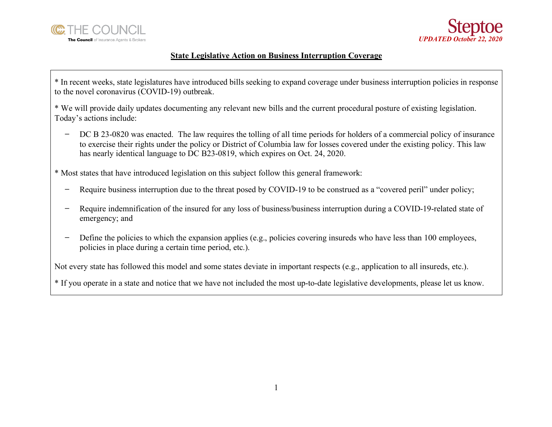



## **State Legislative Action on Business Interruption Coverage**

\* In recent weeks, state legislatures have introduced bills seeking to expand coverage under business interruption policies in response to the novel coronavirus (COVID-19) outbreak.

\* We will provide daily updates documenting any relevant new bills and the current procedural posture of existing legislation. Today's actions include:

̶ DC B 23-0820 was enacted. The law requires the tolling of all time periods for holders of a commercial policy of insurance to exercise their rights under the policy or District of Columbia law for losses covered under the existing policy. This law has nearly identical language to DC B23-0819, which expires on Oct. 24, 2020.

\* Most states that have introduced legislation on this subject follow this general framework:

- Require business interruption due to the threat posed by COVID-19 to be construed as a "covered peril" under policy;
- Require indemnification of the insured for any loss of business/business interruption during a COVID-19-related state of emergency; and
- ̶ Define the policies to which the expansion applies (e.g., policies covering insureds who have less than 100 employees, policies in place during a certain time period, etc.).

Not every state has followed this model and some states deviate in important respects (e.g., application to all insureds, etc.).

\* If you operate in a state and notice that we have not included the most up-to-date legislative developments, please let us know.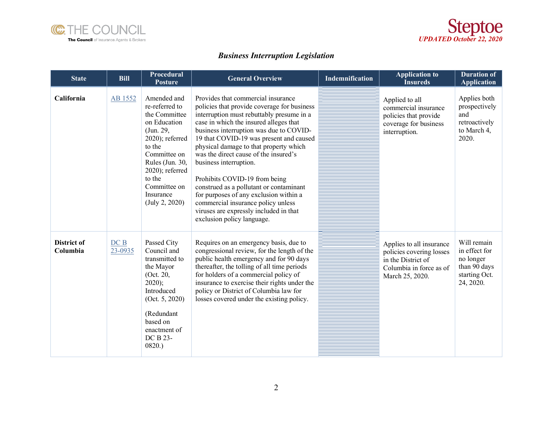



## *Business Interruption Legislation*

| <b>State</b>            | <b>Bill</b>    | <b>Procedural</b><br><b>Posture</b>                                                                                                                                                                                         | <b>General Overview</b>                                                                                                                                                                                                                                                                                                                                                                                                                                                                                                                                                                                         | <b>Indemnification</b> | <b>Application to</b><br><b>Insureds</b>                                                                                 | <b>Duration of</b><br><b>Application</b>                                                |
|-------------------------|----------------|-----------------------------------------------------------------------------------------------------------------------------------------------------------------------------------------------------------------------------|-----------------------------------------------------------------------------------------------------------------------------------------------------------------------------------------------------------------------------------------------------------------------------------------------------------------------------------------------------------------------------------------------------------------------------------------------------------------------------------------------------------------------------------------------------------------------------------------------------------------|------------------------|--------------------------------------------------------------------------------------------------------------------------|-----------------------------------------------------------------------------------------|
| California              | AB 1552        | Amended and<br>re-referred to<br>the Committee<br>on Education<br>(Jun. 29,<br>$2020$ ; referred<br>to the<br>Committee on<br>Rules (Jun. 30,<br>$2020$ ; referred<br>to the<br>Committee on<br>Insurance<br>(July 2, 2020) | Provides that commercial insurance<br>policies that provide coverage for business<br>interruption must rebuttably presume in a<br>case in which the insured alleges that<br>business interruption was due to COVID-<br>19 that COVID-19 was present and caused<br>physical damage to that property which<br>was the direct cause of the insured's<br>business interruption.<br>Prohibits COVID-19 from being<br>construed as a pollutant or contaminant<br>for purposes of any exclusion within a<br>commercial insurance policy unless<br>viruses are expressly included in that<br>exclusion policy language. |                        | Applied to all<br>commercial insurance<br>policies that provide<br>coverage for business<br>interruption.                | Applies both<br>prospectively<br>and<br>retroactively<br>to March 4,<br>2020.           |
| District of<br>Columbia | DCB<br>23-0935 | Passed City<br>Council and<br>transmitted to<br>the Mayor<br>(Oct. 20,<br>$2020$ ;<br>Introduced<br>(Oct. 5, 2020)<br>(Redundant<br>based on<br>enactment of<br>DC B 23-<br>0820.                                           | Requires on an emergency basis, due to<br>congressional review, for the length of the<br>public health emergency and for 90 days<br>thereafter, the tolling of all time periods<br>for holders of a commercial policy of<br>insurance to exercise their rights under the<br>policy or District of Columbia law for<br>losses covered under the existing policy.                                                                                                                                                                                                                                                 |                        | Applies to all insurance<br>policies covering losses<br>in the District of<br>Columbia in force as of<br>March 25, 2020. | Will remain<br>in effect for<br>no longer<br>than 90 days<br>starting Oct.<br>24, 2020. |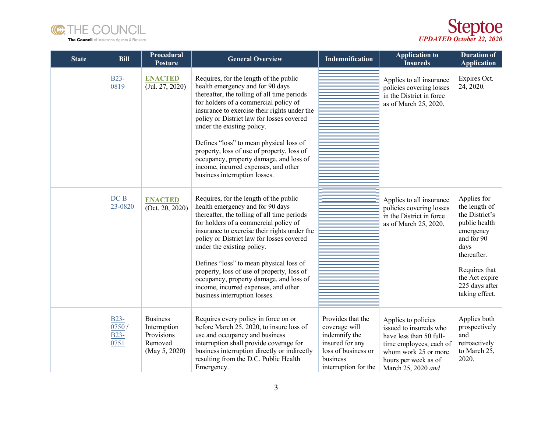



| <b>State</b> | <b>Bill</b>                            | Procedural<br><b>Posture</b>                                              | <b>General Overview</b>                                                                                                                                                                                                                                                                                                                                                                                                                                                                                    | Indemnification                                                                                                                   | <b>Application to</b><br><b>Insureds</b>                                                                                                                                  | <b>Duration of</b><br><b>Application</b>                                                                                                                                                 |
|--------------|----------------------------------------|---------------------------------------------------------------------------|------------------------------------------------------------------------------------------------------------------------------------------------------------------------------------------------------------------------------------------------------------------------------------------------------------------------------------------------------------------------------------------------------------------------------------------------------------------------------------------------------------|-----------------------------------------------------------------------------------------------------------------------------------|---------------------------------------------------------------------------------------------------------------------------------------------------------------------------|------------------------------------------------------------------------------------------------------------------------------------------------------------------------------------------|
|              | $B23-$<br>0819                         | <b>ENACTED</b><br>(Jul. 27, 2020)                                         | Requires, for the length of the public<br>health emergency and for 90 days<br>thereafter, the tolling of all time periods<br>for holders of a commercial policy of<br>insurance to exercise their rights under the<br>policy or District law for losses covered<br>under the existing policy.<br>Defines "loss" to mean physical loss of<br>property, loss of use of property, loss of<br>occupancy, property damage, and loss of<br>income, incurred expenses, and other<br>business interruption losses. |                                                                                                                                   | Applies to all insurance<br>policies covering losses<br>in the District in force<br>as of March 25, 2020.                                                                 | Expires Oct.<br>24, 2020.                                                                                                                                                                |
|              | DCB<br>23-0820                         | <b>ENACTED</b><br>(Oct. 20, 2020)                                         | Requires, for the length of the public<br>health emergency and for 90 days<br>thereafter, the tolling of all time periods<br>for holders of a commercial policy of<br>insurance to exercise their rights under the<br>policy or District law for losses covered<br>under the existing policy.<br>Defines "loss" to mean physical loss of<br>property, loss of use of property, loss of<br>occupancy, property damage, and loss of<br>income, incurred expenses, and other<br>business interruption losses. |                                                                                                                                   | Applies to all insurance<br>policies covering losses<br>in the District in force<br>as of March 25, 2020.                                                                 | Applies for<br>the length of<br>the District's<br>public health<br>emergency<br>and for 90<br>days<br>thereafter.<br>Requires that<br>the Act expire<br>225 days after<br>taking effect. |
|              | $B23-$<br>0750/<br><b>B23-</b><br>0751 | <b>Business</b><br>Interruption<br>Provisions<br>Removed<br>(May 5, 2020) | Requires every policy in force on or<br>before March 25, 2020, to insure loss of<br>use and occupancy and business<br>interruption shall provide coverage for<br>business interruption directly or indirectly<br>resulting from the D.C. Public Health<br>Emergency.                                                                                                                                                                                                                                       | Provides that the<br>coverage will<br>indemnify the<br>insured for any<br>loss of business or<br>business<br>interruption for the | Applies to policies<br>issued to insureds who<br>have less than 50 full-<br>time employees, each of<br>whom work 25 or more<br>hours per week as of<br>March 25, 2020 and | Applies both<br>prospectively<br>and<br>retroactively<br>to March 25,<br>2020.                                                                                                           |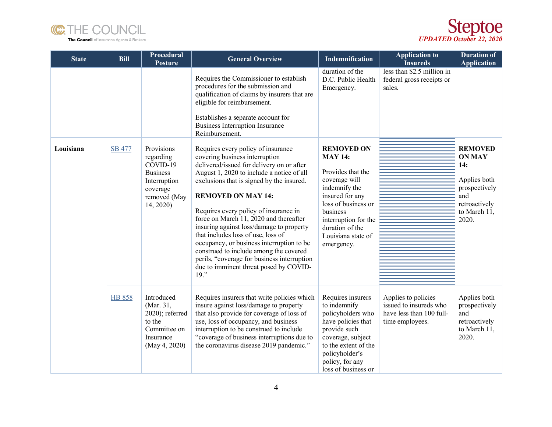



| <b>State</b> | <b>Bill</b>   | <b>Procedural</b><br><b>Posture</b>                                                                             | <b>General Overview</b>                                                                                                                                                                                                                                                                                                                                                                                                                                                                                                                                                                                  | Indemnification                                                                                                                                                                                                                 | <b>Application to</b><br><b>Insureds</b>                                                     | <b>Duration of</b><br><b>Application</b>                                                                                 |
|--------------|---------------|-----------------------------------------------------------------------------------------------------------------|----------------------------------------------------------------------------------------------------------------------------------------------------------------------------------------------------------------------------------------------------------------------------------------------------------------------------------------------------------------------------------------------------------------------------------------------------------------------------------------------------------------------------------------------------------------------------------------------------------|---------------------------------------------------------------------------------------------------------------------------------------------------------------------------------------------------------------------------------|----------------------------------------------------------------------------------------------|--------------------------------------------------------------------------------------------------------------------------|
|              |               |                                                                                                                 | Requires the Commissioner to establish<br>procedures for the submission and<br>qualification of claims by insurers that are<br>eligible for reimbursement.<br>Establishes a separate account for<br><b>Business Interruption Insurance</b><br>Reimbursement.                                                                                                                                                                                                                                                                                                                                             | duration of the<br>D.C. Public Health<br>Emergency.                                                                                                                                                                             | less than \$2.5 million in<br>federal gross receipts or<br>sales.                            |                                                                                                                          |
| Louisiana    | <b>SB 477</b> | Provisions<br>regarding<br>COVID-19<br><b>Business</b><br>Interruption<br>coverage<br>removed (May<br>14, 2020) | Requires every policy of insurance<br>covering business interruption<br>delivered/issued for delivery on or after<br>August 1, 2020 to include a notice of all<br>exclusions that is signed by the insured.<br><b>REMOVED ON MAY 14:</b><br>Requires every policy of insurance in<br>force on March 11, 2020 and thereafter<br>insuring against loss/damage to property<br>that includes loss of use, loss of<br>occupancy, or business interruption to be<br>construed to include among the covered<br>perils, "coverage for business interruption<br>due to imminent threat posed by COVID-<br>$19.$ " | <b>REMOVED ON</b><br><b>MAY 14:</b><br>Provides that the<br>coverage will<br>indemnify the<br>insured for any<br>loss of business or<br>business<br>interruption for the<br>duration of the<br>Louisiana state of<br>emergency. |                                                                                              | <b>REMOVED</b><br><b>ON MAY</b><br>14:<br>Applies both<br>prospectively<br>and<br>retroactively<br>to March 11,<br>2020. |
|              | <b>HB 858</b> | Introduced<br>(Mar. 31,<br>$2020$ ; referred<br>to the<br>Committee on<br>Insurance<br>(May 4, 2020)            | Requires insurers that write policies which<br>insure against loss/damage to property<br>that also provide for coverage of loss of<br>use, loss of occupancy, and business<br>interruption to be construed to include<br>"coverage of business interruptions due to<br>the coronavirus disease 2019 pandemic."                                                                                                                                                                                                                                                                                           | Requires insurers<br>to indemnify<br>policyholders who<br>have policies that<br>provide such<br>coverage, subject<br>to the extent of the<br>policyholder's<br>policy, for any<br>loss of business or                           | Applies to policies<br>issued to insureds who<br>have less than 100 full-<br>time employees. | Applies both<br>prospectively<br>and<br>retroactively<br>to March 11,<br>2020.                                           |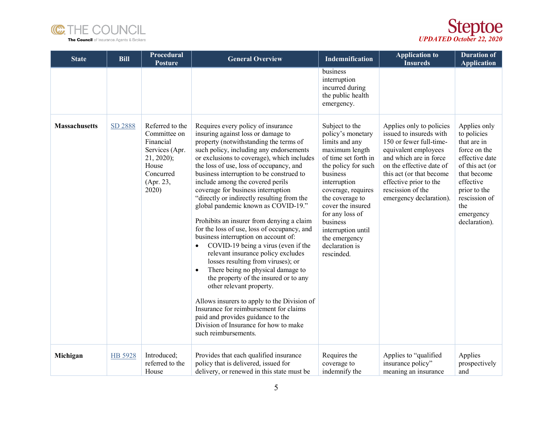



| <b>State</b>         | <b>Bill</b> | Procedural<br><b>Posture</b>                                                                                              | <b>General Overview</b>                                                                                                                                                                                                                                                                                                                                                                                                                                                                                                                                                                                                                                                                                                                                                                                                                                                                                                                                                                                                                        | Indemnification                                                                                                                                                                                                                                                                                                        | <b>Application to</b><br><b>Insureds</b>                                                                                                                                                                                                                           | <b>Duration of</b><br><b>Application</b>                                                                                                                                                          |
|----------------------|-------------|---------------------------------------------------------------------------------------------------------------------------|------------------------------------------------------------------------------------------------------------------------------------------------------------------------------------------------------------------------------------------------------------------------------------------------------------------------------------------------------------------------------------------------------------------------------------------------------------------------------------------------------------------------------------------------------------------------------------------------------------------------------------------------------------------------------------------------------------------------------------------------------------------------------------------------------------------------------------------------------------------------------------------------------------------------------------------------------------------------------------------------------------------------------------------------|------------------------------------------------------------------------------------------------------------------------------------------------------------------------------------------------------------------------------------------------------------------------------------------------------------------------|--------------------------------------------------------------------------------------------------------------------------------------------------------------------------------------------------------------------------------------------------------------------|---------------------------------------------------------------------------------------------------------------------------------------------------------------------------------------------------|
|                      |             |                                                                                                                           |                                                                                                                                                                                                                                                                                                                                                                                                                                                                                                                                                                                                                                                                                                                                                                                                                                                                                                                                                                                                                                                | business<br>interruption<br>incurred during<br>the public health<br>emergency.                                                                                                                                                                                                                                         |                                                                                                                                                                                                                                                                    |                                                                                                                                                                                                   |
| <b>Massachusetts</b> | SD 2888     | Referred to the<br>Committee on<br>Financial<br>Services (Apr.<br>$21, 2020$ ;<br>House<br>Concurred<br>(Apr. 23,<br>2020 | Requires every policy of insurance<br>insuring against loss or damage to<br>property (notwithstanding the terms of<br>such policy, including any endorsements<br>or exclusions to coverage), which includes<br>the loss of use, loss of occupancy, and<br>business interruption to be construed to<br>include among the covered perils<br>coverage for business interruption<br>"directly or indirectly resulting from the<br>global pandemic known as COVID-19."<br>Prohibits an insurer from denying a claim<br>for the loss of use, loss of occupancy, and<br>business interruption on account of:<br>COVID-19 being a virus (even if the<br>relevant insurance policy excludes<br>losses resulting from viruses); or<br>There being no physical damage to<br>$\bullet$<br>the property of the insured or to any<br>other relevant property.<br>Allows insurers to apply to the Division of<br>Insurance for reimbursement for claims<br>paid and provides guidance to the<br>Division of Insurance for how to make<br>such reimbursements. | Subject to the<br>policy's monetary<br>limits and any<br>maximum length<br>of time set forth in<br>the policy for such<br>business<br>interruption<br>coverage, requires<br>the coverage to<br>cover the insured<br>for any loss of<br>business<br>interruption until<br>the emergency<br>declaration is<br>rescinded. | Applies only to policies<br>issued to insureds with<br>150 or fewer full-time-<br>equivalent employees<br>and which are in force<br>on the effective date of<br>this act (or that become<br>effective prior to the<br>rescission of the<br>emergency declaration). | Applies only<br>to policies<br>that are in<br>force on the<br>effective date<br>of this act (or<br>that become<br>effective<br>prior to the<br>rescission of<br>the<br>emergency<br>declaration). |
| Michigan             | HB 5928     | Introduced;<br>referred to the<br>House                                                                                   | Provides that each qualified insurance<br>policy that is delivered, issued for<br>delivery, or renewed in this state must be                                                                                                                                                                                                                                                                                                                                                                                                                                                                                                                                                                                                                                                                                                                                                                                                                                                                                                                   | Requires the<br>coverage to<br>indemnify the                                                                                                                                                                                                                                                                           | Applies to "qualified<br>insurance policy"<br>meaning an insurance                                                                                                                                                                                                 | Applies<br>prospectively<br>and                                                                                                                                                                   |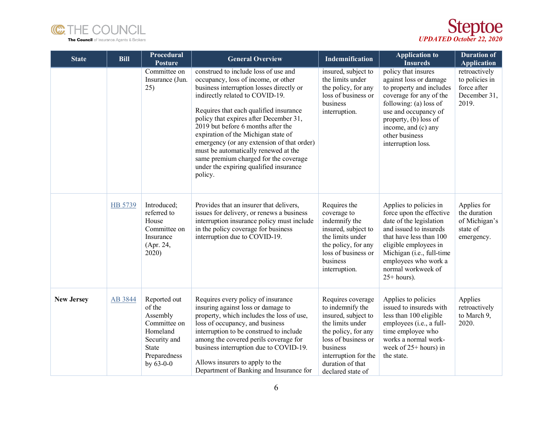



| <b>State</b>      | <b>Bill</b> | Procedural<br>Posture                                                                                                  | <b>General Overview</b>                                                                                                                                                                                                                                                                                                                                                                                                                                                                                         | Indemnification                                                                                                                                                                                             | <b>Application to</b><br><b>Insureds</b>                                                                                                                                                                                                                 | <b>Duration of</b><br><b>Application</b>                                |
|-------------------|-------------|------------------------------------------------------------------------------------------------------------------------|-----------------------------------------------------------------------------------------------------------------------------------------------------------------------------------------------------------------------------------------------------------------------------------------------------------------------------------------------------------------------------------------------------------------------------------------------------------------------------------------------------------------|-------------------------------------------------------------------------------------------------------------------------------------------------------------------------------------------------------------|----------------------------------------------------------------------------------------------------------------------------------------------------------------------------------------------------------------------------------------------------------|-------------------------------------------------------------------------|
|                   |             | Committee on<br>Insurance (Jun.<br>25)                                                                                 | construed to include loss of use and<br>occupancy, loss of income, or other<br>business interruption losses directly or<br>indirectly related to COVID-19.<br>Requires that each qualified insurance<br>policy that expires after December 31,<br>2019 but before 6 months after the<br>expiration of the Michigan state of<br>emergency (or any extension of that order)<br>must be automatically renewed at the<br>same premium charged for the coverage<br>under the expiring qualified insurance<br>policy. | insured, subject to<br>the limits under<br>the policy, for any<br>loss of business or<br>business<br>interruption.                                                                                          | policy that insures<br>against loss or damage<br>to property and includes<br>coverage for any of the<br>following: (a) loss of<br>use and occupancy of<br>property, (b) loss of<br>income, and (c) any<br>other business<br>interruption loss.           | retroactively<br>to policies in<br>force after<br>December 31,<br>2019. |
|                   | HB 5739     | Introduced;<br>referred to<br>House<br>Committee on<br>Insurance<br>(Apr. 24,<br>2020)                                 | Provides that an insurer that delivers,<br>issues for delivery, or renews a business<br>interruption insurance policy must include<br>in the policy coverage for business<br>interruption due to COVID-19.                                                                                                                                                                                                                                                                                                      | Requires the<br>coverage to<br>indemnify the<br>insured, subject to<br>the limits under<br>the policy, for any<br>loss of business or<br>business<br>interruption.                                          | Applies to policies in<br>force upon the effective<br>date of the legislation<br>and issued to insureds<br>that have less than 100<br>eligible employees in<br>Michigan (i.e., full-time<br>employees who work a<br>normal workweek of<br>$25+ hours$ ). | Applies for<br>the duration<br>of Michigan's<br>state of<br>emergency.  |
| <b>New Jersey</b> | AB 3844     | Reported out<br>of the<br>Assembly<br>Committee on<br>Homeland<br>Security and<br>State<br>Preparedness<br>by $63-0-0$ | Requires every policy of insurance<br>insuring against loss or damage to<br>property, which includes the loss of use,<br>loss of occupancy, and business<br>interruption to be construed to include<br>among the covered perils coverage for<br>business interruption due to COVID-19.<br>Allows insurers to apply to the<br>Department of Banking and Insurance for                                                                                                                                            | Requires coverage<br>to indemnify the<br>insured, subject to<br>the limits under<br>the policy, for any<br>loss of business or<br>business<br>interruption for the<br>duration of that<br>declared state of | Applies to policies<br>issued to insureds with<br>less than 100 eligible<br>employees (i.e., a full-<br>time employee who<br>works a normal work-<br>week of $25+$ hours) in<br>the state.                                                               | Applies<br>retroactively<br>to March 9,<br>2020.                        |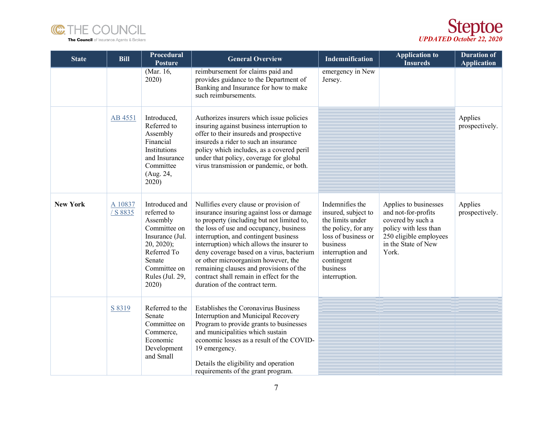



| <b>State</b>    | <b>Bill</b>         | Procedural<br>Posture                                                                                                                                            | <b>General Overview</b>                                                                                                                                                                                                                                                                                                                                                                                                                                                        | Indemnification                                                                                                                                                                     | <b>Application to</b><br><b>Insureds</b>                                                                                                             | <b>Duration of</b><br><b>Application</b> |
|-----------------|---------------------|------------------------------------------------------------------------------------------------------------------------------------------------------------------|--------------------------------------------------------------------------------------------------------------------------------------------------------------------------------------------------------------------------------------------------------------------------------------------------------------------------------------------------------------------------------------------------------------------------------------------------------------------------------|-------------------------------------------------------------------------------------------------------------------------------------------------------------------------------------|------------------------------------------------------------------------------------------------------------------------------------------------------|------------------------------------------|
|                 |                     | (Mar. 16,<br>2020)                                                                                                                                               | reimbursement for claims paid and<br>provides guidance to the Department of<br>Banking and Insurance for how to make<br>such reimbursements.                                                                                                                                                                                                                                                                                                                                   | emergency in New<br>Jersey.                                                                                                                                                         |                                                                                                                                                      |                                          |
|                 | AB 4551             | Introduced,<br>Referred to<br>Assembly<br>Financial<br>Institutions<br>and Insurance<br>Committee<br>(Aug. 24,<br>2020)                                          | Authorizes insurers which issue policies<br>insuring against business interruption to<br>offer to their insureds and prospective<br>insureds a rider to such an insurance<br>policy which includes, as a covered peril<br>under that policy, coverage for global<br>virus transmission or pandemic, or both.                                                                                                                                                                   |                                                                                                                                                                                     |                                                                                                                                                      | Applies<br>prospectively.                |
| <b>New York</b> | A 10837<br>/ S 8835 | Introduced and<br>referred to<br>Assembly<br>Committee on<br>Insurance (Jul.<br>$20, 2020$ ;<br>Referred To<br>Senate<br>Committee on<br>Rules (Jul. 29,<br>2020 | Nullifies every clause or provision of<br>insurance insuring against loss or damage<br>to property (including but not limited to,<br>the loss of use and occupancy, business<br>interruption, and contingent business<br>interruption) which allows the insurer to<br>deny coverage based on a virus, bacterium<br>or other microorganism however, the<br>remaining clauses and provisions of the<br>contract shall remain in effect for the<br>duration of the contract term. | Indemnifies the<br>insured, subject to<br>the limits under<br>the policy, for any<br>loss of business or<br>business<br>interruption and<br>contingent<br>business<br>interruption. | Applies to businesses<br>and not-for-profits<br>covered by such a<br>policy with less than<br>250 eligible employees<br>in the State of New<br>York. | Applies<br>prospectively.                |
|                 | S 8319              | Referred to the<br>Senate<br>Committee on<br>Commerce,<br>Economic<br>Development<br>and Small                                                                   | <b>Establishes the Coronavirus Business</b><br>Interruption and Municipal Recovery<br>Program to provide grants to businesses<br>and municipalities which sustain<br>economic losses as a result of the COVID-<br>19 emergency.<br>Details the eligibility and operation<br>requirements of the grant program.                                                                                                                                                                 |                                                                                                                                                                                     |                                                                                                                                                      |                                          |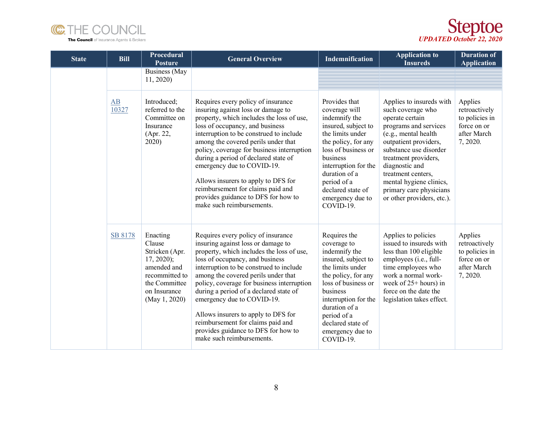



| <b>State</b> | <b>Bill</b> | Procedural<br><b>Posture</b>                                                                                                            | <b>General Overview</b>                                                                                                                                                                                                                                                                                                                                                                                                                                                                                          | Indemnification                                                                                                                                                                                                                                                    | <b>Application to</b><br><b>Insureds</b>                                                                                                                                                                                                                                                                                 | <b>Duration of</b><br><b>Application</b>                                             |
|--------------|-------------|-----------------------------------------------------------------------------------------------------------------------------------------|------------------------------------------------------------------------------------------------------------------------------------------------------------------------------------------------------------------------------------------------------------------------------------------------------------------------------------------------------------------------------------------------------------------------------------------------------------------------------------------------------------------|--------------------------------------------------------------------------------------------------------------------------------------------------------------------------------------------------------------------------------------------------------------------|--------------------------------------------------------------------------------------------------------------------------------------------------------------------------------------------------------------------------------------------------------------------------------------------------------------------------|--------------------------------------------------------------------------------------|
|              |             | Business (May<br>11, 2020                                                                                                               |                                                                                                                                                                                                                                                                                                                                                                                                                                                                                                                  |                                                                                                                                                                                                                                                                    |                                                                                                                                                                                                                                                                                                                          |                                                                                      |
|              | AB<br>10327 | Introduced;<br>referred to the<br>Committee on<br>Insurance<br>(Apr. 22,<br>2020)                                                       | Requires every policy of insurance<br>insuring against loss or damage to<br>property, which includes the loss of use,<br>loss of occupancy, and business<br>interruption to be construed to include<br>among the covered perils under that<br>policy, coverage for business interruption<br>during a period of declared state of<br>emergency due to COVID-19.<br>Allows insurers to apply to DFS for<br>reimbursement for claims paid and<br>provides guidance to DFS for how to<br>make such reimbursements.   | Provides that<br>coverage will<br>indemnify the<br>insured, subject to<br>the limits under<br>the policy, for any<br>loss of business or<br>business<br>interruption for the<br>duration of a<br>period of a<br>declared state of<br>emergency due to<br>COVID-19. | Applies to insureds with<br>such coverage who<br>operate certain<br>programs and services<br>(e.g., mental health<br>outpatient providers,<br>substance use disorder<br>treatment providers,<br>diagnostic and<br>treatment centers,<br>mental hygiene clinics,<br>primary care physicians<br>or other providers, etc.). | Applies<br>retroactively<br>to policies in<br>force on or<br>after March<br>7, 2020. |
|              | SB 8178     | Enacting<br>Clause<br>Stricken (Apr.<br>$17, 2020$ ;<br>amended and<br>recommitted to<br>the Committee<br>on Insurance<br>(May 1, 2020) | Requires every policy of insurance<br>insuring against loss or damage to<br>property, which includes the loss of use,<br>loss of occupancy, and business<br>interruption to be construed to include<br>among the covered perils under that<br>policy, coverage for business interruption<br>during a period of a declared state of<br>emergency due to COVID-19.<br>Allows insurers to apply to DFS for<br>reimbursement for claims paid and<br>provides guidance to DFS for how to<br>make such reimbursements. | Requires the<br>coverage to<br>indemnify the<br>insured, subject to<br>the limits under<br>the policy, for any<br>loss of business or<br>business<br>interruption for the<br>duration of a<br>period of a<br>declared state of<br>emergency due to<br>COVID-19.    | Applies to policies<br>issued to insureds with<br>less than 100 eligible<br>employees (i.e., full-<br>time employees who<br>work a normal work-<br>week of $25+$ hours) in<br>force on the date the<br>legislation takes effect.                                                                                         | Applies<br>retroactively<br>to policies in<br>force on or<br>after March<br>7, 2020. |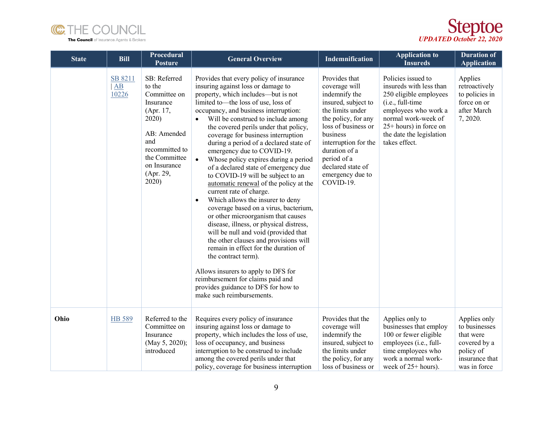



| <b>State</b> | <b>Bill</b>                         | <b>Procedural</b><br><b>Posture</b>                                                                                                                                      | <b>General Overview</b>                                                                                                                                                                                                                                                                                                                                                                                                                                                                                                                                                                                                                                                                                                                                                                                                                                                                                                                                                                                                                                                             | <b>Indemnification</b>                                                                                                                                                                                                                                             | <b>Application to</b><br><b>Insureds</b>                                                                                                                                                                          | <b>Duration of</b><br><b>Application</b>                                                                  |
|--------------|-------------------------------------|--------------------------------------------------------------------------------------------------------------------------------------------------------------------------|-------------------------------------------------------------------------------------------------------------------------------------------------------------------------------------------------------------------------------------------------------------------------------------------------------------------------------------------------------------------------------------------------------------------------------------------------------------------------------------------------------------------------------------------------------------------------------------------------------------------------------------------------------------------------------------------------------------------------------------------------------------------------------------------------------------------------------------------------------------------------------------------------------------------------------------------------------------------------------------------------------------------------------------------------------------------------------------|--------------------------------------------------------------------------------------------------------------------------------------------------------------------------------------------------------------------------------------------------------------------|-------------------------------------------------------------------------------------------------------------------------------------------------------------------------------------------------------------------|-----------------------------------------------------------------------------------------------------------|
|              | SB 8211<br>$\overline{AB}$<br>10226 | SB: Referred<br>to the<br>Committee on<br>Insurance<br>(Apr. 17,<br>2020)<br>AB: Amended<br>and<br>recommitted to<br>the Committee<br>on Insurance<br>(Apr. 29,<br>2020) | Provides that every policy of insurance<br>insuring against loss or damage to<br>property, which includes—but is not<br>limited to-the loss of use, loss of<br>occupancy, and business interruption:<br>Will be construed to include among<br>the covered perils under that policy,<br>coverage for business interruption<br>during a period of a declared state of<br>emergency due to COVID-19.<br>$\bullet$<br>Whose policy expires during a period<br>of a declared state of emergency due<br>to COVID-19 will be subject to an<br>automatic renewal of the policy at the<br>current rate of charge.<br>Which allows the insurer to deny<br>$\bullet$<br>coverage based on a virus, bacterium,<br>or other microorganism that causes<br>disease, illness, or physical distress,<br>will be null and void (provided that<br>the other clauses and provisions will<br>remain in effect for the duration of<br>the contract term).<br>Allows insurers to apply to DFS for<br>reimbursement for claims paid and<br>provides guidance to DFS for how to<br>make such reimbursements. | Provides that<br>coverage will<br>indemnify the<br>insured, subject to<br>the limits under<br>the policy, for any<br>loss of business or<br>business<br>interruption for the<br>duration of a<br>period of a<br>declared state of<br>emergency due to<br>COVID-19. | Policies issued to<br>insureds with less than<br>250 eligible employees<br>(i.e., full-time<br>employees who work a<br>normal work-week of<br>25+ hours) in force on<br>the date the legislation<br>takes effect. | Applies<br>retroactively<br>to policies in<br>force on or<br>after March<br>7, 2020.                      |
| Ohio         | HB 589                              | Referred to the<br>Committee on<br>Insurance<br>(May 5, 2020);<br>introduced                                                                                             | Requires every policy of insurance<br>insuring against loss or damage to<br>property, which includes the loss of use,<br>loss of occupancy, and business<br>interruption to be construed to include<br>among the covered perils under that<br>policy, coverage for business interruption                                                                                                                                                                                                                                                                                                                                                                                                                                                                                                                                                                                                                                                                                                                                                                                            | Provides that the<br>coverage will<br>indemnify the<br>insured, subject to<br>the limits under<br>the policy, for any<br>loss of business or                                                                                                                       | Applies only to<br>businesses that employ<br>100 or fewer eligible<br>employees (i.e., full-<br>time employees who<br>work a normal work-<br>week of 25+ hours).                                                  | Applies only<br>to businesses<br>that were<br>covered by a<br>policy of<br>insurance that<br>was in force |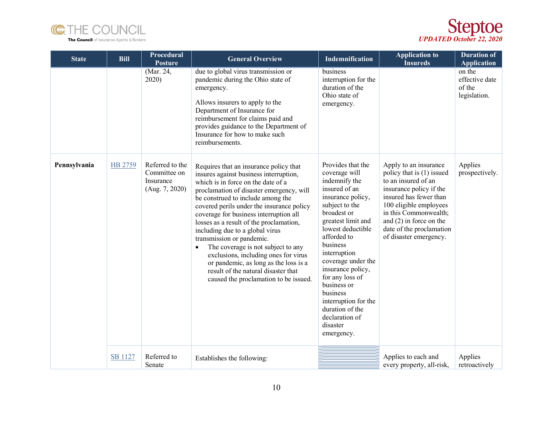



| <b>State</b> | <b>Bill</b>    | Procedural<br><b>Posture</b>                                   | <b>General Overview</b>                                                                                                                                                                                                                                                                                                                                                                                                                                                                                                                                                                                                       | <b>Indemnification</b>                                                                                                                                                                                                                                                                                                                                                                           | <b>Application to</b><br><b>Insureds</b>                                                                                                                                                                                                                             | <b>Duration of</b><br><b>Application</b>           |
|--------------|----------------|----------------------------------------------------------------|-------------------------------------------------------------------------------------------------------------------------------------------------------------------------------------------------------------------------------------------------------------------------------------------------------------------------------------------------------------------------------------------------------------------------------------------------------------------------------------------------------------------------------------------------------------------------------------------------------------------------------|--------------------------------------------------------------------------------------------------------------------------------------------------------------------------------------------------------------------------------------------------------------------------------------------------------------------------------------------------------------------------------------------------|----------------------------------------------------------------------------------------------------------------------------------------------------------------------------------------------------------------------------------------------------------------------|----------------------------------------------------|
|              |                | (Mar. 24,<br>2020)                                             | due to global virus transmission or<br>pandemic during the Ohio state of<br>emergency.<br>Allows insurers to apply to the<br>Department of Insurance for<br>reimbursement for claims paid and<br>provides guidance to the Department of<br>Insurance for how to make such<br>reimbursements.                                                                                                                                                                                                                                                                                                                                  | business<br>interruption for the<br>duration of the<br>Ohio state of<br>emergency.                                                                                                                                                                                                                                                                                                               |                                                                                                                                                                                                                                                                      | on the<br>effective date<br>of the<br>legislation. |
| Pennsylvania | HB 2759        | Referred to the<br>Committee on<br>Insurance<br>(Aug. 7, 2020) | Requires that an insurance policy that<br>insures against business interruption,<br>which is in force on the date of a<br>proclamation of disaster emergency, will<br>be construed to include among the<br>covered perils under the insurance policy<br>coverage for business interruption all<br>losses as a result of the proclamation,<br>including due to a global virus<br>transmission or pandemic.<br>The coverage is not subject to any<br>$\bullet$<br>exclusions, including ones for virus<br>or pandemic, as long as the loss is a<br>result of the natural disaster that<br>caused the proclamation to be issued. | Provides that the<br>coverage will<br>indemnify the<br>insured of an<br>insurance policy,<br>subject to the<br>broadest or<br>greatest limit and<br>lowest deductible<br>afforded to<br>business<br>interruption<br>coverage under the<br>insurance policy,<br>for any loss of<br>business or<br>business<br>interruption for the<br>duration of the<br>declaration of<br>disaster<br>emergency. | Apply to an insurance<br>policy that is (1) issued<br>to an insured of an<br>insurance policy if the<br>insured has fewer than<br>100 eligible employees<br>in this Commonwealth;<br>and $(2)$ in force on the<br>date of the proclamation<br>of disaster emergency. | Applies<br>prospectively.                          |
|              | <b>SB 1127</b> | Referred to<br>Senate                                          | Establishes the following:                                                                                                                                                                                                                                                                                                                                                                                                                                                                                                                                                                                                    |                                                                                                                                                                                                                                                                                                                                                                                                  | Applies to each and<br>every property, all-risk,                                                                                                                                                                                                                     | Applies<br>retroactively                           |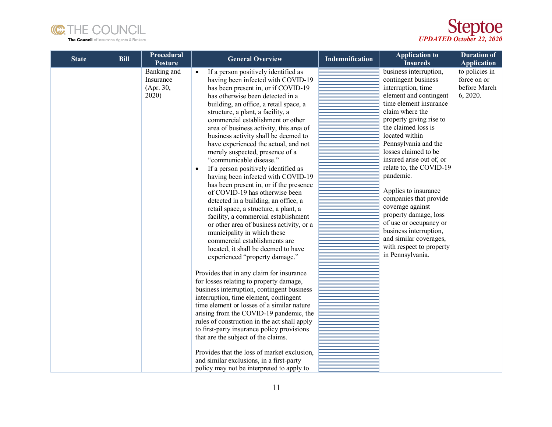

*UPDATED October 22, 2020*

| <b>State</b> | <b>Bill</b> | Procedural<br><b>Posture</b>                          | <b>General Overview</b>                                                                                                                                                                                                                                                                                                                                                                                                                                                                                                                                                                                                                                                                                                                                                                                                                                                                                                                                                                                                                                                                                                                                                                                                                                                                                                                                                                                                                                                                                       | <b>Indemnification</b> | <b>Application to</b><br><b>Insureds</b>                                                                                                                                                                                                                                                                                                                                                                                                                                                                                                                        | <b>Duration of</b><br><b>Application</b>                  |
|--------------|-------------|-------------------------------------------------------|---------------------------------------------------------------------------------------------------------------------------------------------------------------------------------------------------------------------------------------------------------------------------------------------------------------------------------------------------------------------------------------------------------------------------------------------------------------------------------------------------------------------------------------------------------------------------------------------------------------------------------------------------------------------------------------------------------------------------------------------------------------------------------------------------------------------------------------------------------------------------------------------------------------------------------------------------------------------------------------------------------------------------------------------------------------------------------------------------------------------------------------------------------------------------------------------------------------------------------------------------------------------------------------------------------------------------------------------------------------------------------------------------------------------------------------------------------------------------------------------------------------|------------------------|-----------------------------------------------------------------------------------------------------------------------------------------------------------------------------------------------------------------------------------------------------------------------------------------------------------------------------------------------------------------------------------------------------------------------------------------------------------------------------------------------------------------------------------------------------------------|-----------------------------------------------------------|
|              |             | <b>Banking</b> and<br>Insurance<br>(Apr. 30,<br>2020) | If a person positively identified as<br>having been infected with COVID-19<br>has been present in, or if COVID-19<br>has otherwise been detected in a<br>building, an office, a retail space, a<br>structure, a plant, a facility, a<br>commercial establishment or other<br>area of business activity, this area of<br>business activity shall be deemed to<br>have experienced the actual, and not<br>merely suspected, presence of a<br>"communicable disease."<br>If a person positively identified as<br>$\bullet$<br>having been infected with COVID-19<br>has been present in, or if the presence<br>of COVID-19 has otherwise been<br>detected in a building, an office, a<br>retail space, a structure, a plant, a<br>facility, a commercial establishment<br>or other area of business activity, or a<br>municipality in which these<br>commercial establishments are<br>located, it shall be deemed to have<br>experienced "property damage."<br>Provides that in any claim for insurance<br>for losses relating to property damage,<br>business interruption, contingent business<br>interruption, time element, contingent<br>time element or losses of a similar nature<br>arising from the COVID-19 pandemic, the<br>rules of construction in the act shall apply<br>to first-party insurance policy provisions<br>that are the subject of the claims.<br>Provides that the loss of market exclusion,<br>and similar exclusions, in a first-party<br>policy may not be interpreted to apply to |                        | business interruption,<br>contingent business<br>interruption, time<br>element and contingent<br>time element insurance<br>claim where the<br>property giving rise to<br>the claimed loss is<br>located within<br>Pennsylvania and the<br>losses claimed to be<br>insured arise out of, or<br>relate to, the COVID-19<br>pandemic.<br>Applies to insurance<br>companies that provide<br>coverage against<br>property damage, loss<br>of use or occupancy or<br>business interruption,<br>and similar coverages,<br>with respect to property<br>in Pennsylvania. | to policies in<br>force on or<br>before March<br>6, 2020. |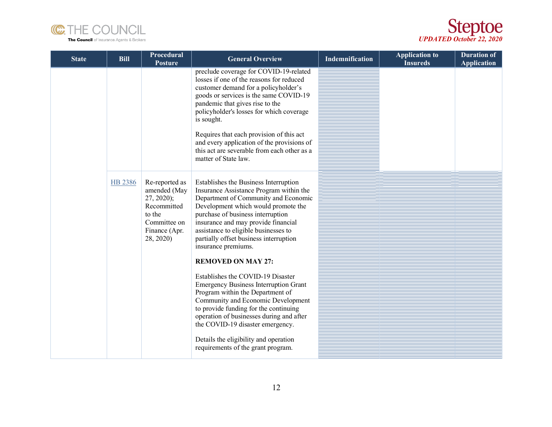



| <b>State</b> | <b>Bill</b> | Procedural<br><b>Posture</b>                                                                                          | <b>General Overview</b>                                                                                                                                                                                                                                                                                                                                                                                                                                                                                                                                                                                                                                                                                                                                  | <b>Indemnification</b> | <b>Application to</b><br><b>Insureds</b> | <b>Duration of</b><br><b>Application</b> |
|--------------|-------------|-----------------------------------------------------------------------------------------------------------------------|----------------------------------------------------------------------------------------------------------------------------------------------------------------------------------------------------------------------------------------------------------------------------------------------------------------------------------------------------------------------------------------------------------------------------------------------------------------------------------------------------------------------------------------------------------------------------------------------------------------------------------------------------------------------------------------------------------------------------------------------------------|------------------------|------------------------------------------|------------------------------------------|
|              |             |                                                                                                                       | preclude coverage for COVID-19-related<br>losses if one of the reasons for reduced<br>customer demand for a policyholder's<br>goods or services is the same COVID-19<br>pandemic that gives rise to the<br>policyholder's losses for which coverage<br>is sought.<br>Requires that each provision of this act<br>and every application of the provisions of<br>this act are severable from each other as a<br>matter of State law.                                                                                                                                                                                                                                                                                                                       |                        |                                          |                                          |
|              | HB 2386     | Re-reported as<br>amended (May<br>$27, 2020$ ;<br>Recommitted<br>to the<br>Committee on<br>Finance (Apr.<br>28, 2020) | Establishes the Business Interruption<br>Insurance Assistance Program within the<br>Department of Community and Economic<br>Development which would promote the<br>purchase of business interruption<br>insurance and may provide financial<br>assistance to eligible businesses to<br>partially offset business interruption<br>insurance premiums.<br><b>REMOVED ON MAY 27:</b><br>Establishes the COVID-19 Disaster<br><b>Emergency Business Interruption Grant</b><br>Program within the Department of<br>Community and Economic Development<br>to provide funding for the continuing<br>operation of businesses during and after<br>the COVID-19 disaster emergency.<br>Details the eligibility and operation<br>requirements of the grant program. |                        |                                          |                                          |
|              |             |                                                                                                                       |                                                                                                                                                                                                                                                                                                                                                                                                                                                                                                                                                                                                                                                                                                                                                          |                        |                                          |                                          |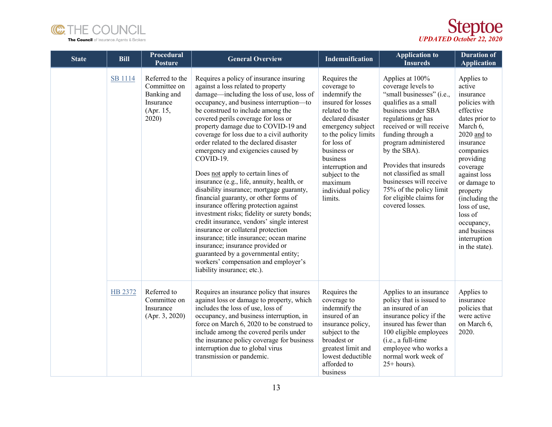



| <b>State</b> | <b>Bill</b>    | <b>Procedural</b><br><b>Posture</b>                                               | <b>General Overview</b>                                                                                                                                                                                                                                                                                                                                                                                                                                                                                                                                                                                                                                                                                                                                                                                                                                                                                                                                                                 | Indemnification                                                                                                                                                                                                                                                                   | <b>Application to</b><br><b>Insureds</b>                                                                                                                                                                                                                                                                                                                                                 | <b>Duration of</b><br><b>Application</b>                                                                                                                                                                                                                                                                                 |
|--------------|----------------|-----------------------------------------------------------------------------------|-----------------------------------------------------------------------------------------------------------------------------------------------------------------------------------------------------------------------------------------------------------------------------------------------------------------------------------------------------------------------------------------------------------------------------------------------------------------------------------------------------------------------------------------------------------------------------------------------------------------------------------------------------------------------------------------------------------------------------------------------------------------------------------------------------------------------------------------------------------------------------------------------------------------------------------------------------------------------------------------|-----------------------------------------------------------------------------------------------------------------------------------------------------------------------------------------------------------------------------------------------------------------------------------|------------------------------------------------------------------------------------------------------------------------------------------------------------------------------------------------------------------------------------------------------------------------------------------------------------------------------------------------------------------------------------------|--------------------------------------------------------------------------------------------------------------------------------------------------------------------------------------------------------------------------------------------------------------------------------------------------------------------------|
|              | <b>SB</b> 1114 | Referred to the<br>Committee on<br>Banking and<br>Insurance<br>(Apr. 15,<br>2020) | Requires a policy of insurance insuring<br>against a loss related to property<br>damage—including the loss of use, loss of<br>occupancy, and business interruption-to<br>be construed to include among the<br>covered perils coverage for loss or<br>property damage due to COVID-19 and<br>coverage for loss due to a civil authority<br>order related to the declared disaster<br>emergency and exigencies caused by<br>COVID-19.<br>Does not apply to certain lines of<br>insurance (e.g., life, annuity, health, or<br>disability insurance; mortgage guaranty,<br>financial guaranty, or other forms of<br>insurance offering protection against<br>investment risks; fidelity or surety bonds;<br>credit insurance, vendors' single interest<br>insurance or collateral protection<br>insurance; title insurance; ocean marine<br>insurance; insurance provided or<br>guaranteed by a governmental entity;<br>workers' compensation and employer's<br>liability insurance; etc.). | Requires the<br>coverage to<br>indemnify the<br>insured for losses<br>related to the<br>declared disaster<br>emergency subject<br>to the policy limits<br>for loss of<br>business or<br>business<br>interruption and<br>subject to the<br>maximum<br>individual policy<br>limits. | Applies at 100%<br>coverage levels to<br>"small businesses" (i.e.,<br>qualifies as a small<br>business under SBA<br>regulations or has<br>received or will receive<br>funding through a<br>program administered<br>by the SBA).<br>Provides that insureds<br>not classified as small<br>businesses will receive<br>75% of the policy limit<br>for eligible claims for<br>covered losses. | Applies to<br>active<br>insurance<br>policies with<br>effective<br>dates prior to<br>March 6,<br>2020 and to<br>insurance<br>companies<br>providing<br>coverage<br>against loss<br>or damage to<br>property<br>(including the<br>loss of use,<br>loss of<br>occupancy,<br>and business<br>interruption<br>in the state). |
|              | HB 2372        | Referred to<br>Committee on<br>Insurance<br>(Apr. 3, 2020)                        | Requires an insurance policy that insures<br>against loss or damage to property, which<br>includes the loss of use, loss of<br>occupancy, and business interruption, in<br>force on March 6, 2020 to be construed to<br>include among the covered perils under<br>the insurance policy coverage for business<br>interruption due to global virus<br>transmission or pandemic.                                                                                                                                                                                                                                                                                                                                                                                                                                                                                                                                                                                                           | Requires the<br>coverage to<br>indemnify the<br>insured of an<br>insurance policy,<br>subject to the<br>broadest or<br>greatest limit and<br>lowest deductible<br>afforded to<br>business                                                                                         | Applies to an insurance<br>policy that is issued to<br>an insured of an<br>insurance policy if the<br>insured has fewer than<br>100 eligible employees<br>(i.e., a full-time<br>employee who works a<br>normal work week of<br>$25+ hours$ ).                                                                                                                                            | Applies to<br>insurance<br>policies that<br>were active<br>on March 6,<br>2020.                                                                                                                                                                                                                                          |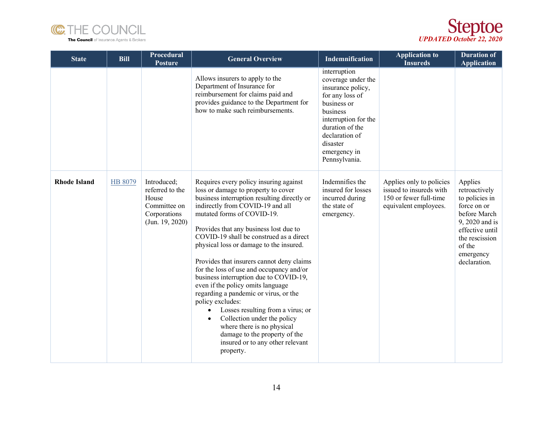



| <b>State</b>        | <b>Bill</b> | Procedural<br><b>Posture</b>                                                               | <b>General Overview</b>                                                                                                                                                                                                                                                                                                                                                                                                                                                                                                                                                                                                                                                                                                                                                           | Indemnification                                                                                                                                                                                                 | <b>Application to</b><br><b>Insureds</b>                                                               | <b>Duration of</b><br><b>Application</b>                                                                                                                                |
|---------------------|-------------|--------------------------------------------------------------------------------------------|-----------------------------------------------------------------------------------------------------------------------------------------------------------------------------------------------------------------------------------------------------------------------------------------------------------------------------------------------------------------------------------------------------------------------------------------------------------------------------------------------------------------------------------------------------------------------------------------------------------------------------------------------------------------------------------------------------------------------------------------------------------------------------------|-----------------------------------------------------------------------------------------------------------------------------------------------------------------------------------------------------------------|--------------------------------------------------------------------------------------------------------|-------------------------------------------------------------------------------------------------------------------------------------------------------------------------|
|                     |             |                                                                                            | Allows insurers to apply to the<br>Department of Insurance for<br>reimbursement for claims paid and<br>provides guidance to the Department for<br>how to make such reimbursements.                                                                                                                                                                                                                                                                                                                                                                                                                                                                                                                                                                                                | interruption<br>coverage under the<br>insurance policy,<br>for any loss of<br>business or<br>business<br>interruption for the<br>duration of the<br>declaration of<br>disaster<br>emergency in<br>Pennsylvania. |                                                                                                        |                                                                                                                                                                         |
| <b>Rhode Island</b> | HB 8079     | Introduced;<br>referred to the<br>House<br>Committee on<br>Corporations<br>(Jun. 19, 2020) | Requires every policy insuring against<br>loss or damage to property to cover<br>business interruption resulting directly or<br>indirectly from COVID-19 and all<br>mutated forms of COVID-19.<br>Provides that any business lost due to<br>COVID-19 shall be construed as a direct<br>physical loss or damage to the insured.<br>Provides that insurers cannot deny claims<br>for the loss of use and occupancy and/or<br>business interruption due to COVID-19,<br>even if the policy omits language<br>regarding a pandemic or virus, or the<br>policy excludes:<br>Losses resulting from a virus; or<br>$\bullet$<br>Collection under the policy<br>$\bullet$<br>where there is no physical<br>damage to the property of the<br>insured or to any other relevant<br>property. | Indemnifies the<br>insured for losses<br>incurred during<br>the state of<br>emergency.                                                                                                                          | Applies only to policies<br>issued to insureds with<br>150 or fewer full-time<br>equivalent employees. | Applies<br>retroactively<br>to policies in<br>force on or<br>before March<br>9, 2020 and is<br>effective until<br>the rescission<br>of the<br>emergency<br>declaration. |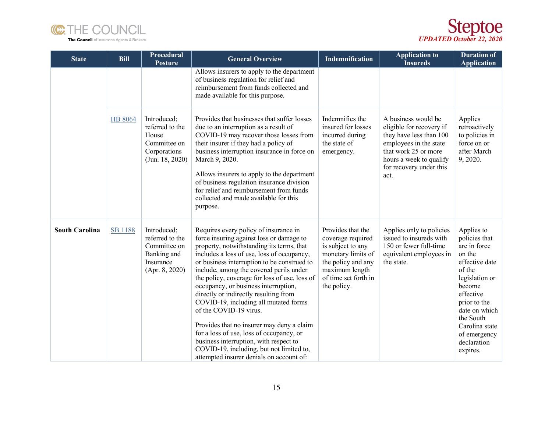



| <b>State</b>          | <b>Bill</b>    | Procedural<br><b>Posture</b>                                                                 | <b>General Overview</b>                                                                                                                                                                                                                                                                                                                                                                                                                                                                                                                                                                                                                                                                                | Indemnification                                                                                                                                                  | <b>Application to</b><br><b>Insureds</b>                                                                                                                                                   | <b>Duration of</b><br><b>Application</b>                                                                                                                                                                                              |
|-----------------------|----------------|----------------------------------------------------------------------------------------------|--------------------------------------------------------------------------------------------------------------------------------------------------------------------------------------------------------------------------------------------------------------------------------------------------------------------------------------------------------------------------------------------------------------------------------------------------------------------------------------------------------------------------------------------------------------------------------------------------------------------------------------------------------------------------------------------------------|------------------------------------------------------------------------------------------------------------------------------------------------------------------|--------------------------------------------------------------------------------------------------------------------------------------------------------------------------------------------|---------------------------------------------------------------------------------------------------------------------------------------------------------------------------------------------------------------------------------------|
|                       |                |                                                                                              | Allows insurers to apply to the department<br>of business regulation for relief and<br>reimbursement from funds collected and<br>made available for this purpose.                                                                                                                                                                                                                                                                                                                                                                                                                                                                                                                                      |                                                                                                                                                                  |                                                                                                                                                                                            |                                                                                                                                                                                                                                       |
|                       | <b>HB 8064</b> | Introduced;<br>referred to the<br>House<br>Committee on<br>Corporations<br>(Jun. 18, 2020)   | Provides that businesses that suffer losses<br>due to an interruption as a result of<br>COVID-19 may recover those losses from<br>their insurer if they had a policy of<br>business interruption insurance in force on<br>March 9, 2020.<br>Allows insurers to apply to the department<br>of business regulation insurance division<br>for relief and reimbursement from funds<br>collected and made available for this<br>purpose.                                                                                                                                                                                                                                                                    | Indemnifies the<br>insured for losses<br>incurred during<br>the state of<br>emergency.                                                                           | A business would be<br>eligible for recovery if<br>they have less than 100<br>employees in the state<br>that work 25 or more<br>hours a week to qualify<br>for recovery under this<br>act. | Applies<br>retroactively<br>to policies in<br>force on or<br>after March<br>9, 2020.                                                                                                                                                  |
| <b>South Carolina</b> | <b>SB 1188</b> | Introduced;<br>referred to the<br>Committee on<br>Banking and<br>Insurance<br>(Apr. 8, 2020) | Requires every policy of insurance in<br>force insuring against loss or damage to<br>property, notwithstanding its terms, that<br>includes a loss of use, loss of occupancy,<br>or business interruption to be construed to<br>include, among the covered perils under<br>the policy, coverage for loss of use, loss of<br>occupancy, or business interruption,<br>directly or indirectly resulting from<br>COVID-19, including all mutated forms<br>of the COVID-19 virus.<br>Provides that no insurer may deny a claim<br>for a loss of use, loss of occupancy, or<br>business interruption, with respect to<br>COVID-19, including, but not limited to,<br>attempted insurer denials on account of: | Provides that the<br>coverage required<br>is subject to any<br>monetary limits of<br>the policy and any<br>maximum length<br>of time set forth in<br>the policy. | Applies only to policies<br>issued to insureds with<br>150 or fewer full-time<br>equivalent employees in<br>the state.                                                                     | Applies to<br>policies that<br>are in force<br>on the<br>effective date<br>of the<br>legislation or<br>become<br>effective<br>prior to the<br>date on which<br>the South<br>Carolina state<br>of emergency<br>declaration<br>expires. |